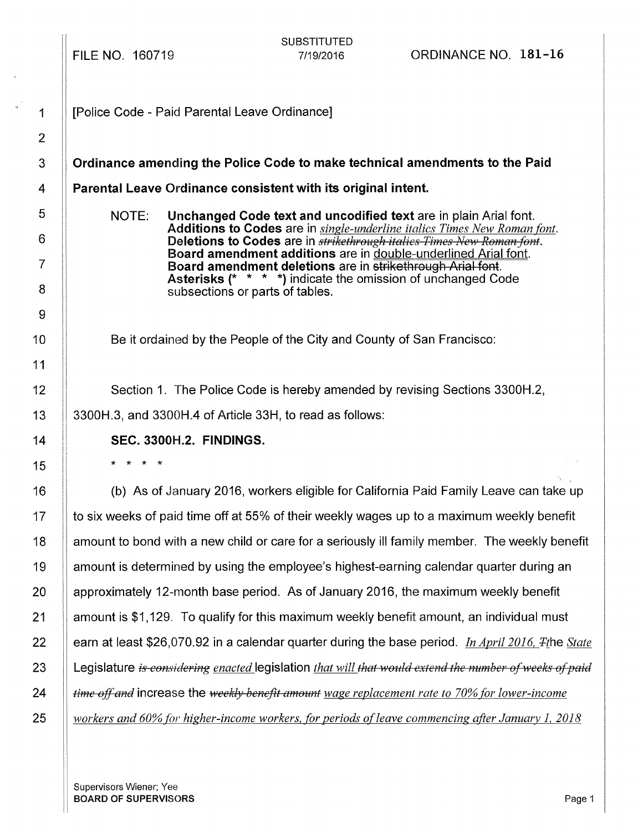FILE NO. 160719

SUBSTITUTED

| 1                                                                                                                                                                                                                                                                                                                                                                                                                                                                |
|------------------------------------------------------------------------------------------------------------------------------------------------------------------------------------------------------------------------------------------------------------------------------------------------------------------------------------------------------------------------------------------------------------------------------------------------------------------|
| ,                                                                                                                                                                                                                                                                                                                                                                                                                                                                |
| ξ                                                                                                                                                                                                                                                                                                                                                                                                                                                                |
| 4                                                                                                                                                                                                                                                                                                                                                                                                                                                                |
| 5                                                                                                                                                                                                                                                                                                                                                                                                                                                                |
| $\frac{1}{1} \left( \frac{1}{1} \left( \frac{1}{1} \left( \frac{1}{1} \left( \frac{1}{1} \left( \frac{1}{1} \left( \frac{1}{1} \left( \frac{1}{1} \left( \frac{1}{1} \left( \frac{1}{1} \left( \frac{1}{1} \left( \frac{1}{1} \left( \frac{1}{1} \left( \frac{1}{1} \left( \frac{1}{1} \left( \frac{1}{1} \left( \frac{1}{1} \right) \left( \frac{1}{1} \left( \frac{1}{1} \right) \right) \right) \right) \right) \right) \right) \right) \right) \right)$<br>6 |
|                                                                                                                                                                                                                                                                                                                                                                                                                                                                  |
| ξ<br>3                                                                                                                                                                                                                                                                                                                                                                                                                                                           |
| ţ<br>j                                                                                                                                                                                                                                                                                                                                                                                                                                                           |
| 0<br>1                                                                                                                                                                                                                                                                                                                                                                                                                                                           |
| l<br>1<br>i                                                                                                                                                                                                                                                                                                                                                                                                                                                      |
| l<br>2                                                                                                                                                                                                                                                                                                                                                                                                                                                           |
| 1<br>3                                                                                                                                                                                                                                                                                                                                                                                                                                                           |
| 4<br>1                                                                                                                                                                                                                                                                                                                                                                                                                                                           |
| 1<br>5                                                                                                                                                                                                                                                                                                                                                                                                                                                           |
| 1<br>6                                                                                                                                                                                                                                                                                                                                                                                                                                                           |
| 1<br>7                                                                                                                                                                                                                                                                                                                                                                                                                                                           |
| 8<br>۱                                                                                                                                                                                                                                                                                                                                                                                                                                                           |
| 9<br>1                                                                                                                                                                                                                                                                                                                                                                                                                                                           |
| 【《《诗经》》中,《诗经》中,《诗经》中,《诗经》中,《诗经》中,《诗经》中,《诗经》中,《诗经》中,《诗经》中,《诗经》中,《诗经》中,《诗经》中,《诗经》中<br>20                                                                                                                                                                                                                                                                                                                                                                           |
| 1<br>2                                                                                                                                                                                                                                                                                                                                                                                                                                                           |
| 2<br>2                                                                                                                                                                                                                                                                                                                                                                                                                                                           |
| 3<br>2                                                                                                                                                                                                                                                                                                                                                                                                                                                           |
| 2<br>I<br>4                                                                                                                                                                                                                                                                                                                                                                                                                                                      |
| 25                                                                                                                                                                                                                                                                                                                                                                                                                                                               |

[Police Code - Paid Parental Leave Ordinance]

Ordinance amending the Police Code to make technical amendments to the Paid

Parental Leave Ordinance consistent with its original intent.

NOTE: Unchanged Code text and uncodified text are in plain Arial font. Additions to Codes are in *single-underline italics Times New Roman font.*  Deletions to Codes are in *strikethrough italics Times New Roman font.* Board amendment additions are in double-underlined Arial font. Board amendment deletions are in strikethrough Arial font. Asterisks (\* \* \* \*) indicate the omission of unchanged Code subsections or parts of tables.

Be it ordained by the People of the City and County of San Francisco:

Section 1. The Police Code is hereby amended by revising Sections 3300H.2, 3300H.3, and 3300H.4 of Article 33H, to read as follows:

# SEC. 3300H.2. FINDINGS.

\* \* \* \*

(b) As of January 2016, workers eligible for California Paid Family Leave can take up to six weeks of paid time off at 55% of their weekly wages up to a maximum weekly benefit amount to bond with a new child or care for a seriously ill family member. The weekly benefit amount is determined by using the employee's highest-earning calendar quarter during an approximately 12-month base period. As of January 2016, the maximum weekly benefit amount is \$1, 129. To qualify for this maximum weekly benefit amount, an individual must earn at least \$26,070.92 in a calendar quarter during the base period. *In April 2016, Tile State* Legislature *is considering enacted* legislation *that will that would extend the number of weeks of paid time affand* increase the *weekly benefit amount wage replacement rate to 70% for lower-income workers and 60% for higher-income workers, for periods ofleave commencing after January 1, 2018* 

Supervisors Wiener; Yee **BOARD OF SUPERVISORS** Page 1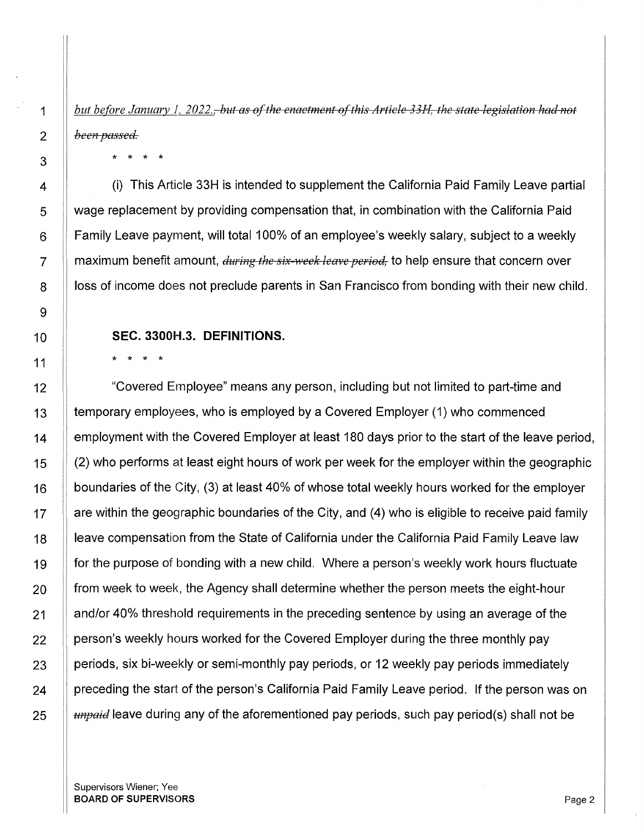*but before January 1, 2022.<del>, but as of the enactment of this Article 33H, the state legislation had not*</del> *been passed.* 

\* \* \* \*

(i) This Article 33H is intended to supplement the California Paid Family Leave partial wage replacement by providing compensation that, in combination with the California Paid Family Leave payment, will total 100% of an employee's weekly salary, subject to a weekly maximum benefit amount, *during the six-week leave period*, to help ensure that concern over loss of income does not preclude parents in San Francisco from bonding with their new child.

## **SEC. 3300H.3. DEFINITIONS.**

\* \* \* \*

"Covered Employee" means any person, including but not limited to part-time and temporary employees, who is employed by a Covered Employer (1) who commenced employment with the Covered Employer at least 180 days prior to the start of the leave period, (2) who performs at least eight hours of work per week for the employer within the geographic boundaries of the City, (3) at least 40% of whose total weekly hours worked for the employer are within the geographic boundaries of the City, and (4) who is eligible to receive paid family leave compensation from the State of California under the California Paid Family Leave law for the purpose of bonding with a new child. Where a person's weekly work hours fluctuate from week to week, the Agency shall determine whether the person meets the eight-hour and/or 40% threshold requirements in the preceding sentence by using an average of the person's weekly hours worked for the Covered Employer during the three monthly pay periods, six bi-weekly or semi-monthly pay periods, or 12 weekly pay periods immediately preceding the start of the person's California Paid Family Leave period. If the person was on *unpaid* leave during any of the aforementioned pay periods, such pay period(s) shall not be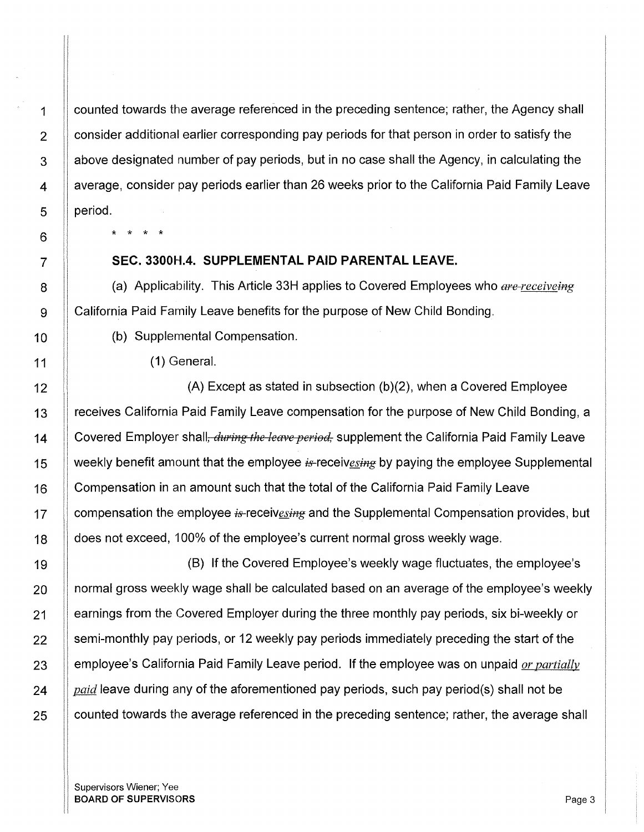counted towards the average referenced in the preceding sentence; rather, the Agency shall consider additional earlier corresponding pay periods for that person in order to satisfy the above designated number of pay periods, but in no case shall the Agency, in calculating the average, consider pay periods earlier than 26 weeks prior to the California Paid Family Leave period.

\* \* \* \*

### **SEC. 3300H.4. SUPPLEMENTAL PAID PARENTAL LEAVE.**

(a) Applicability. This Article 33H applies to Covered Employees who *are-receiveing* California Paid Family Leave benefits for the purpose of New Child Bonding.

(b) Supplemental Compensation.

( 1) General.

(A) Except as stated in subsection (b)(2), when a Covered Employee receives California Paid Family Leave compensation for the purpose of New Child Bonding, a Covered Employer shall, *during the leave period*, supplement the California Paid Family Leave weekly benefit amount that the employee  $i<sub>F</sub>$ -receivesing by paying the employee Supplemental Compensation in an amount such that the total of the California Paid Family Leave compensation the employee  $i<sub>s</sub>$ -receives in and the Supplemental Compensation provides, but does not exceed, 100% of the employee's current normal gross weekly wage.

(B) If the Covered Employee's weekly wage fluctuates, the employee's normal gross weekly wage shall be calculated based on an average of the employee's weekly earnings from the Covered Employer during the three monthly pay periods, six bi-weekly or semi-monthly pay periods, or 12 weekly pay periods immediately preceding the start of the employee's California Paid Family Leave period. If the employee was on unpaid *or partiallv paid* leave during any of the aforementioned pay periods, such pay period(s) shall not be counted towards the average referenced in the preceding sentence; rather, the average shall

Supervisors Wiener; Yee BOARD OF SUPERVISORS **Page 3**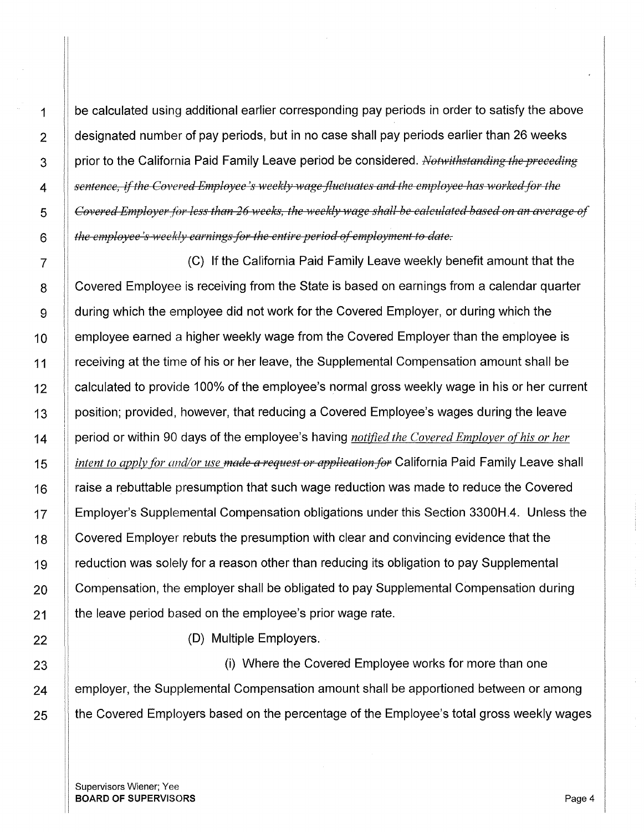be calculated using additional earlier corresponding pay periods in order to satisfy the above  $\parallel$  designated number of pay periods, but in no case shall pay periods earlier than 26 weeks 3 || prior to the California Paid Family Leave period be considered. *Notwithstanding the preceding sentence, if the Covered Employee's weekly wage fluctuates and the employee has worked for the Covered Employer for less than 26 weeks, the weekly wage shall be calculated based on an average of the empfoyee 's ·weekly earnings for the entire period of employment to date.* 

7 (C) If the California Paid Family Leave weekly benefit amount that the 8 | Covered Employee is receiving from the State is based on earnings from a calendar quarter 9 | during which the employee did not work for the Covered Employer, or during which the 10 | employee earned a higher weekly wage from the Covered Employer than the employee is 11 If receiving at the time of his or her leave, the Supplemental Compensation amount shall be 12 | calculated to provide 100% of the employee's normal gross weekly wage in his or her current 13 | position; provided, however, that reducing a Covered Employee's wages during the leave 14 period or within 90 days of the employee's having *notified the Covered Employer of his or her*  15 *intent to apply for ond/or use made a request or application for* California Paid Family Leave shall 16 | raise a rebuttable presumption that such wage reduction was made to reduce the Covered 17 Employer's Supplemental Compensation obligations under this Section 3300H.4. Unless the 18 | Covered Employer rebuts the presumption with clear and convincing evidence that the 19 | reduction was solely for a reason other than reducing its obligation to pay Supplemental 20 | Compensation, the employer shall be obligated to pay Supplemental Compensation during 21 | the leave period based on the employee's prior wage rate.

22 **(D)** Multiple Employers.

23 (i) Where the Covered Employee works for more than one 24 **Examplemental Compensation amount shall be apportioned between or among** 25 **the Covered Employers based on the percentage of the Employee's total gross weekly wages** 

Supervisors Wiener; Yee **BOARD OF SUPERVISORS** Page 4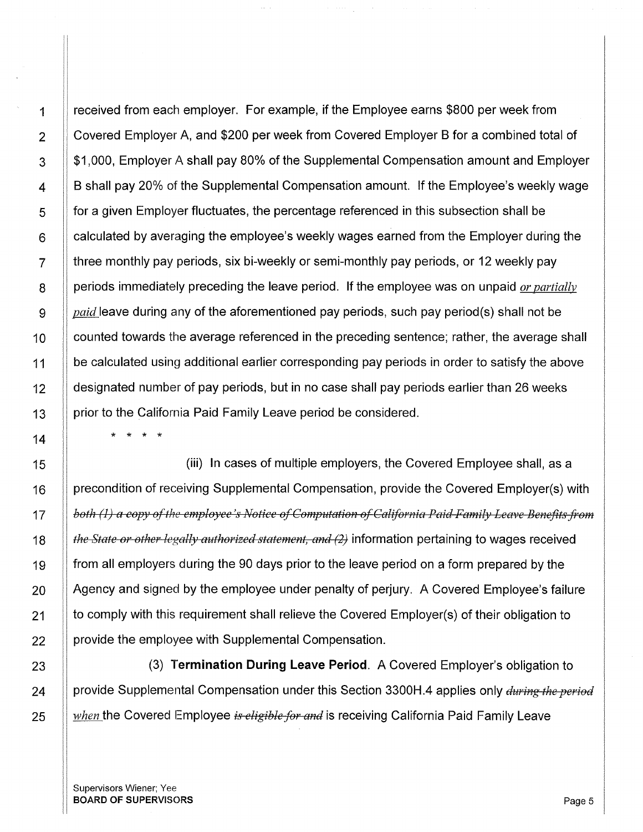received from each employer. For example, if the Employee earns \$800 per week from Covered Employer A, and \$200 per week from Covered Employer B for a combined total of \$1,000, Employer A shall pay 80% of the Supplemental Compensation amount and Employer B shall pay 20% of the Supplemental Compensation amount. If the Employee's weekly wage for a given Employer fluctuates, the percentage referenced in this subsection shall be calculated by averaging the employee's weekly wages earned from the Employer during the three monthly pay periods, six bi-weekly or semi-monthly pay periods, or 12 weekly pay periods immediately preceding the leave period. If the employee was on unpaid *or partiallv paid* leave during any of the aforementioned pay periods, such pay period(s) shall not be counted towards the average referenced in the preceding sentence; rather, the average shall be calculated using additional earlier corresponding pay periods in order to satisfy the above designated number of pay periods, but in no case shall pay periods earlier than 26 weeks prior to the California Paid Family Leave period be considered.

\* \* \* \*

(iii) In cases of multiple employers, the Covered Employee shall, as a precondition of receiving Supplemental Compensation, provide the Covered Employer(s) with *both (1) a copy of the employee's Notice of Computation of California Paid Family Leave Benefits from the State or other legally authorized statement, and (2)* information pertaining to wages received from all employers during the 90 days prior to the leave period on a form prepared by the Agency and signed by the employee under penalty of perjury. A Covered Employee's failure to comply with this requirement shall relieve the Covered Employer(s) of their obligation to provide the employee with Supplemental Compensation.

(3) **Termination During Leave Period.** A Covered Employer's obligation to provide Supplemental Compensation under this Section 3300H.4 applies only *during the period when* the Covered Employee *is eligible for and* is receiving California Paid Family Leave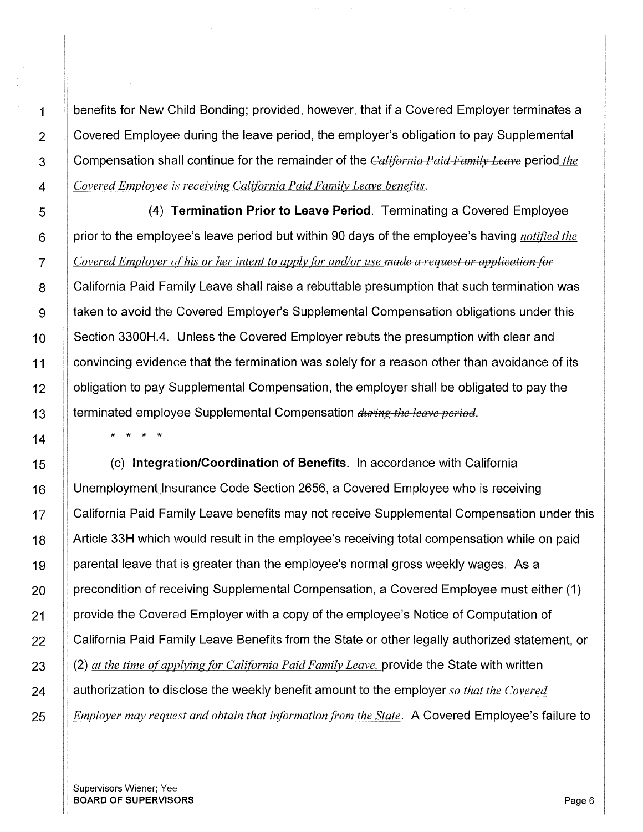benefits for New Child Bonding; provided, however, that if a Covered Employer terminates a Covered Employee during the leave period, the employer's obligation to pay Supplemental Compensation shall continue for the remainder of the *Califemia Paid Family Leave* period *the Covered Employee is receiving California Paid Family Leave benefits.* 

(4) **Termination Prior to Leave Period.** Terminating a Covered Employee prior to the employee's leave period but within 90 days of the employee's having *notified the Covered Employer of his or her intent to apply for and/or use made a request or application for*  California Paid Family Leave shall raise a rebuttable presumption that such termination was taken to avoid the Covered Employer's Supplemental Compensation obligations under this Section 3300H.4. Unless the Covered Employer rebuts the presumption with clear and convincing evidence that the termination was solely for a reason other than avoidance of its obligation to pay Supplemental Compensation, the employer shall be obligated to pay the terminated employee Supplemental Compensation *during the leave period.* 

(c) **Integration/Coordination of Benefits.** In accordance with California Unemployment\_lnsurance Code Section 2656, a Covered Employee who is receiving California Paid Family Leave benefits may not receive Supplemental Compensation under this Article 33H which would result in the employee's receiving total compensation while on paid parental leave that is greater than the employee's normal gross weekly wages. As a precondition of receiving Supplemental Compensation, a Covered Employee must either (1) provide the Covered Employer with a copy of the employee's Notice of Computation of California Paid Family Leave Benefits from the State or other legally authorized statement, or (2) *at the time of applying for California Paid Family Leave,* provide the State with written authorization to disclose the weekly benefit amount to the employer *so that the Covered Employer may request and obtain that information from the State.* A Covered Employee's failure to

\* \* \* \*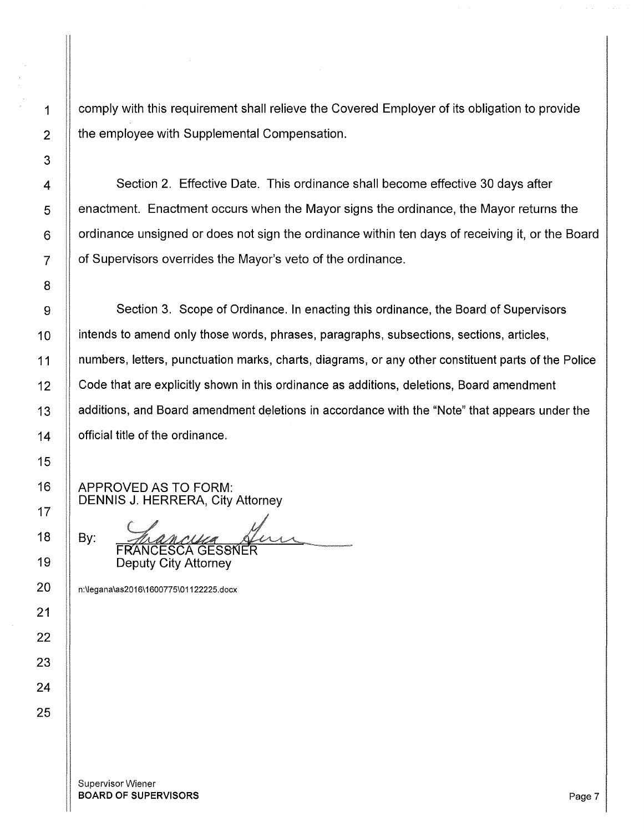1 | comply with this requirement shall relieve the Covered Employer of its obligation to provide  $2 \parallel$  the employee with Supplemental Compensation.

4 | Section 2. Effective Date. This ordinance shall become effective 30 days after 5 | enactment. Enactment occurs when the Mayor signs the ordinance, the Mayor returns the  $6$  | ordinance unsigned or does not sign the ordinance within ten days of receiving it, or the Board 7 | of Supervisors overrides the Mayor's veto of the ordinance.

 $\mathbf{g}$   $\parallel$  Section 3. Scope of Ordinance. In enacting this ordinance, the Board of Supervisors 10 **intends to amend only those words, phrases, paragraphs, subsections, sections, articles,** 11 numbers, letters, punctuation marks, charts, diagrams, or any other constituent parts of the Police 12 | Code that are explicitly shown in this ordinance as additions, deletions, Board amendment 13 | additions, and Board amendment deletions in accordance with the "Note" that appears under the 14 **| official title of the ordinance.** 

APPROVED AS TO FORM:

DENNIS J. HERRERA, City Attorney<br>By: *ANAANUM*<br>FRANCESCA GESSNER Deputy City Attorney

n:\legana\as2016\1600775\01122225.docx